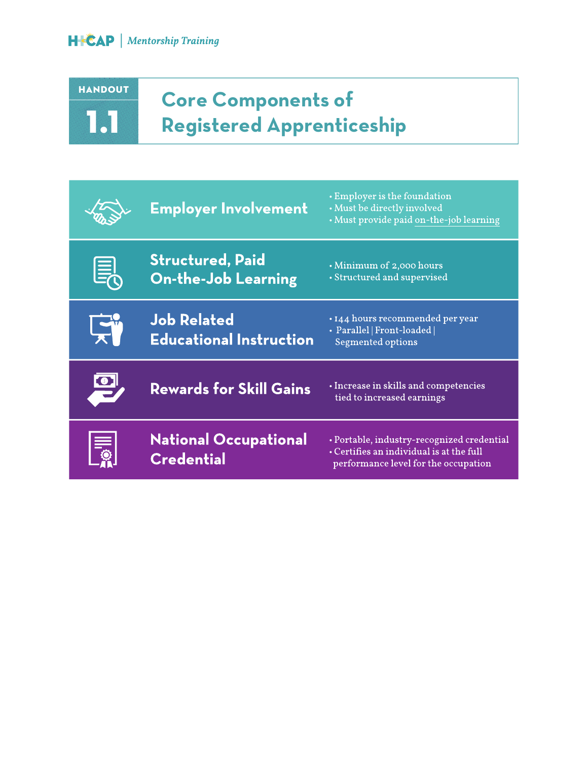## HANDOUT 2.1 1.1

### **Core Components of Registered Apprenticeship**

|           | <b>Employer Involvement</b>                           | • Employer is the foundation<br>• Must be directly involved<br>• Must provide paid on-the-job learning                         |
|-----------|-------------------------------------------------------|--------------------------------------------------------------------------------------------------------------------------------|
| <u>Ei</u> | <b>Structured, Paid</b><br><b>On-the-Job Learning</b> | Minimum of 2,000 hours<br>• Structured and supervised                                                                          |
|           | <b>Job Related</b><br><b>Educational Instruction</b>  | · 144 hours recommended per year<br>· Parallel   Front-loaded  <br>Segmented options                                           |
|           | <b>Rewards for Skill Gains</b>                        | • Increase in skills and competencies<br>tied to increased earnings                                                            |
|           | <b>National Occupational</b><br><b>Credential</b>     | • Portable, industry-recognized credential<br>• Certifies an individual is at the full<br>performance level for the occupation |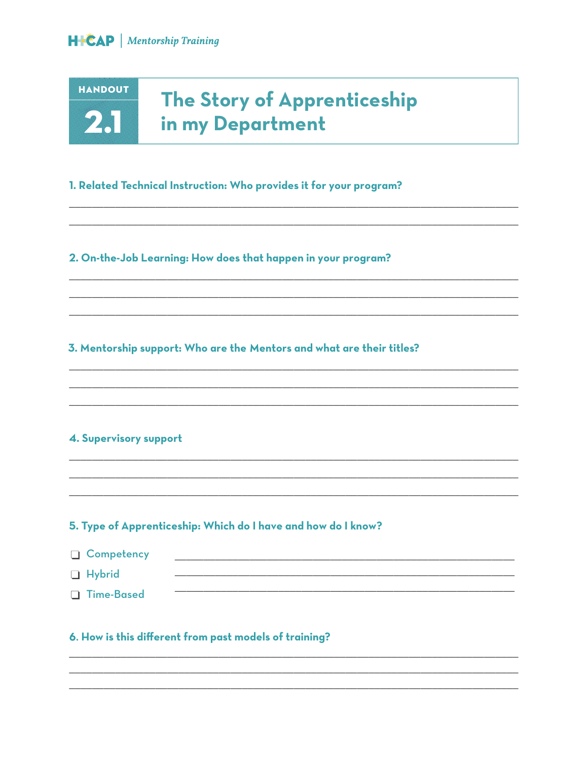**HANDOUT** 

 $2.1$ 

### The Story of Apprenticeship in my Department

#### 1. Related Technical Instruction: Who provides it for your program?

2. On-the-Job Learning: How does that happen in your program?

#### 3. Mentorship support: Who are the Mentors and what are their titles?

#### 4. Supervisory support

#### 5. Type of Apprenticeship: Which do I have and how do I know?

| □ Competency  |  |
|---------------|--|
| $\Box$ Hybrid |  |
| □ Time-Based  |  |

#### 6. How is this different from past models of training?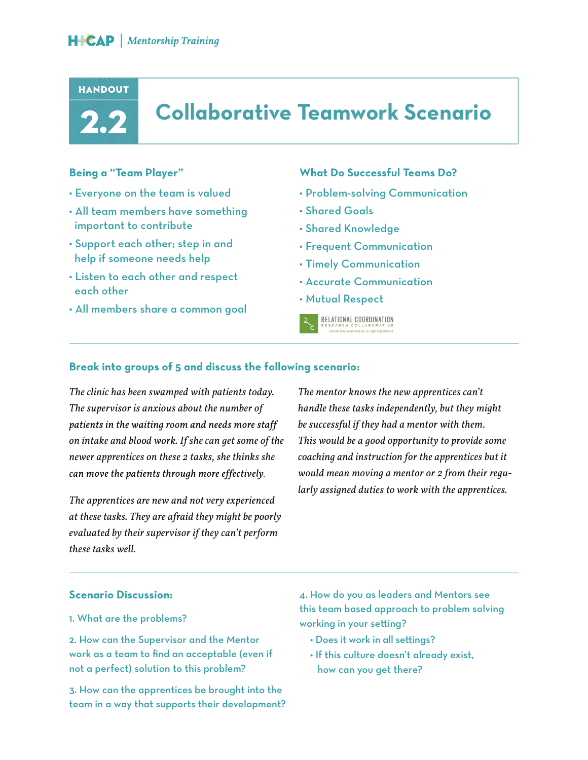#### **HANDOUT**



### **Collaborative Teamwork Scenario**

#### **Being a "Team Player"**

- Everyone on the team is valued
- All team members have something important to contribute
- Support each other; step in and help if someone needs help
- Listen to each other and respect each other
- All members share a common goal

#### **What Do Successful Teams Do?**

- Problem-solving Communication
- Shared Goals
- Shared Knowledge
- Frequent Communication
- Timely Communication
- Accurate Communication
- Mutual Respect



#### **Break into groups of 5 and discuss the following scenario:**

*The clinic has been swamped with patients today. The supervisor is anxious about the number of*  patients in the waiting room and needs more staff *on intake and blood work. If she can get some of the newer apprentices on these 2 tasks, she thinks she*  can move the patients through more effectively.

*The apprentices are new and not very experienced at these tasks. They are afraid they might be poorly evaluated by their supervisor if they can't perform these tasks well.*

*The mentor knows the new apprentices can't handle these tasks independently, but they might be successful if they had a mentor with them. This would be a good opportunity to provide some coaching and instruction for the apprentices but it would mean moving a mentor or 2 from their regularly assigned duties to work with the apprentices.*

#### **Scenario Discussion:**

#### 1. What are the problems?

2. How can the Supervisor and the Mentor work as a team to find an acceptable (even if not a perfect) solution to this problem?

3. How can the apprentices be brought into the team in a way that supports their development?

4. How do you as leaders and Mentors see this team based approach to problem solving working in your setting?

- Does it work in all settings?
- If this culture doesn't already exist, how can you get there?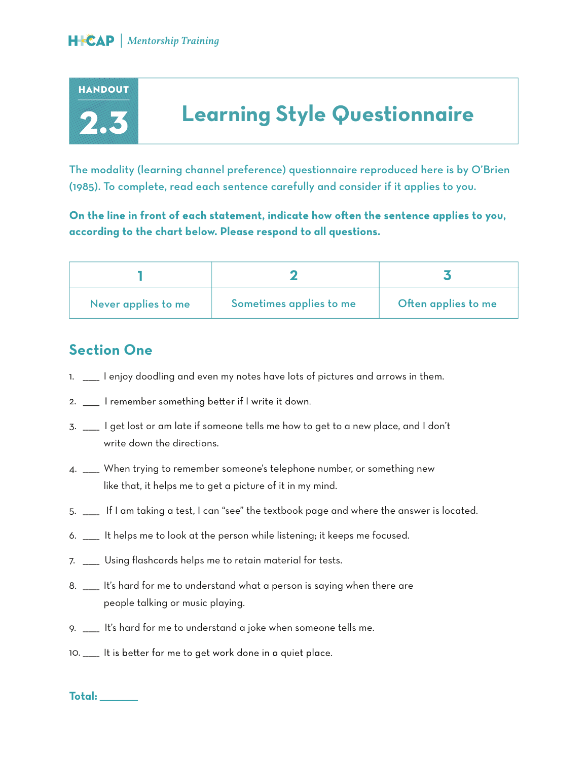

### **Learning Style Questionnaire**

The modality (learning channel preference) questionnaire reproduced here is by O'Brien (1985). To complete, read each sentence carefully and consider if it applies to you.

On the line in front of each statement, indicate how often the sentence applies to you, **according to the chart below. Please respond to all questions.**

| Never applies to me | Sometimes applies to me | Often applies to me |
|---------------------|-------------------------|---------------------|

#### **Section One**

- 1. \_\_\_\_\_\_ I enjoy doodling and even my notes have lots of pictures and arrows in them.
- 2. \_\_ I remember something better if I write it down.
- 3. \_\_\_\_\_\_ I get lost or am late if someone tells me how to get to a new place, and I don't write down the directions.
- 4. \_\_\_\_\_\_ When trying to remember someone's telephone number, or something new like that, it helps me to get a picture of it in my mind.
- 5. \_\_\_\_\_\_ If I am taking a test, I can "see" the textbook page and where the answer is located.
- 6. \_\_\_\_\_\_ It helps me to look at the person while listening; it keeps me focused.
- 7. \_\_\_\_\_\_ Using flashcards helps me to retain material for tests.
- 8. \_\_\_\_\_ It's hard for me to understand what a person is saying when there are people talking or music playing.
- 9. \_\_\_\_\_\_ It's hard for me to understand a joke when someone tells me.
- 10. \_\_\_\_ It is better for me to get work done in a quiet place.

**Total:** \_\_\_\_\_\_\_\_\_\_\_\_\_\_\_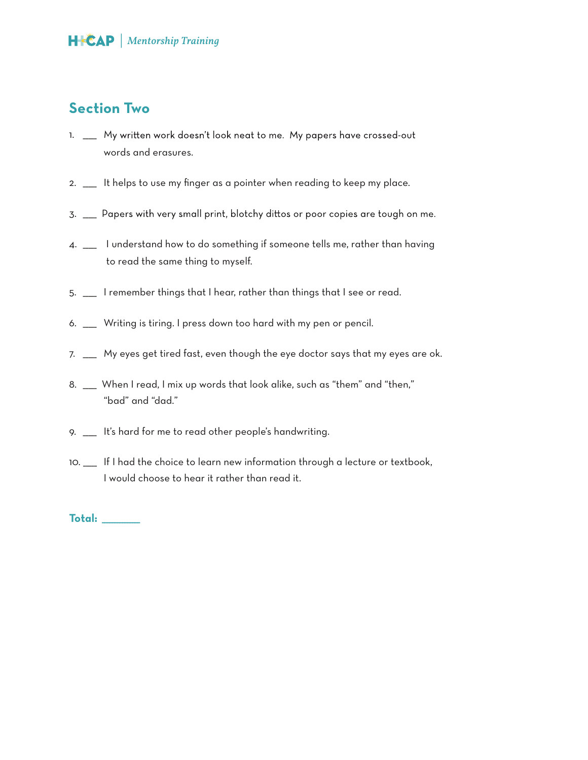#### **Section Two**

- 1. \_\_ My written work doesn't look neat to me. My papers have crossed-out words and erasures.
- 2. \_\_\_\_\_ It helps to use my finger as a pointer when reading to keep my place.
- 3. \_\_\_\_ Papers with very small print, blotchy dittos or poor copies are tough on me.
- 4. \_\_\_\_\_ I understand how to do something if someone tells me, rather than having to read the same thing to myself.
- 5. \_\_\_\_\_ I remember things that I hear, rather than things that I see or read.
- 6. \_\_\_\_\_ Writing is tiring. I press down too hard with my pen or pencil.
- 7. \_\_\_\_\_ My eyes get tired fast, even though the eye doctor says that my eyes are ok.
- 8. \_\_\_ When I read, I mix up words that look alike, such as "them" and "then," "bad" and "dad."
- 9. \_\_\_\_\_ It's hard for me to read other people's handwriting.
- 10. \_\_\_\_\_ If I had the choice to learn new information through a lecture or textbook, I would choose to hear it rather than read it.

**Total:** \_\_\_\_\_\_\_\_\_\_\_\_\_\_\_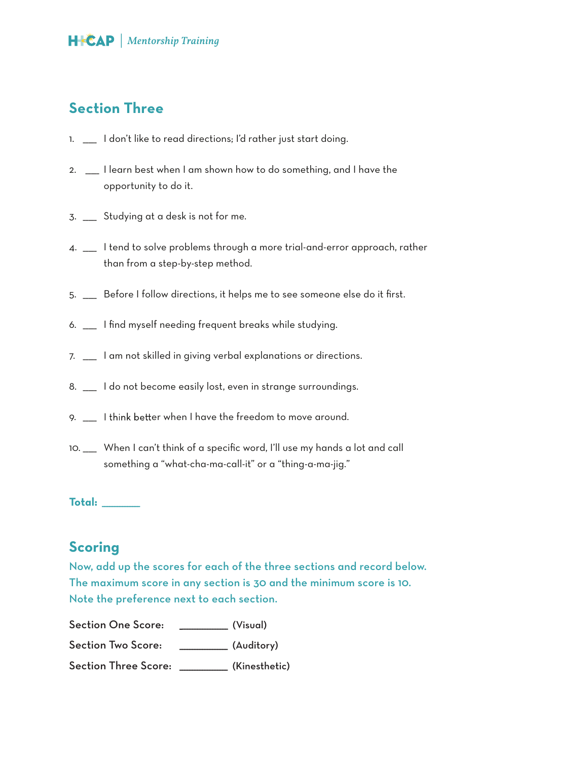#### **Section Three**

- 1. \_\_\_\_ I don't like to read directions; I'd rather just start doing.
- 2. \_\_\_\_\_ I learn best when I am shown how to do something, and I have the opportunity to do it.
- 3. \_\_\_\_\_ Studying at a desk is not for me.
- 4. \_\_\_\_\_ I tend to solve problems through a more trial-and-error approach, rather than from a step-by-step method.
- 5. \_\_\_\_\_ Before I follow directions, it helps me to see someone else do it first.
- 6. \_\_\_\_\_ I find myself needing frequent breaks while studying.
- 7. \_\_\_\_\_ I am not skilled in giving verbal explanations or directions.
- 8. \_\_\_\_\_ I do not become easily lost, even in strange surroundings.
- 9. \_\_\_\_ I think better when I have the freedom to move around.
- 10. \_\_\_\_\_ When I can't think of a specific word, I'll use my hands a lot and call something a "what-cha-ma-call-it" or a "thing-a-ma-jig."

**Total:** \_\_\_\_\_\_\_\_\_\_\_\_\_\_\_

#### **Scoring**

Now, add up the scores for each of the three sections and record below. The maximum score in any section is 30 and the minimum score is 10. Note the preference next to each section.

Section One Score: \_\_\_\_\_\_\_\_\_\_\_\_ (Visual) Section Two Score: \_\_\_\_\_\_\_\_\_\_\_\_\_ (Auditory)

Section Three Score: \_\_\_\_\_\_\_\_\_\_\_\_\_\_\_\_\_\_\_ (Kinesthetic)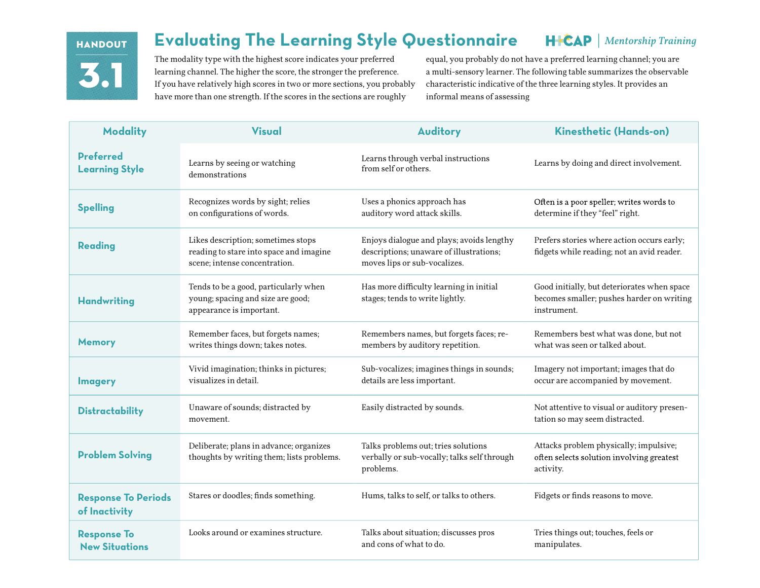### HANDOUT **31**

#### *Mentorship Training* **Evaluating The Learning Style Questionnaire**

The modality type with the highest score indicates your preferred learning channel. The higher the score, the stronger the preference. If you have relatively high scores in two or more sections, you probably have more than one strength. If the scores in the sections are roughly

equal, you probably do not have a preferred learning channel; you are a multi-sensory learner. The following table summarizes the observable characteristic indicative of the three learning styles. It provides an informal means of assessing

| <b>Modality</b>                             | <b>Visual</b>                                                                                                  | <b>Auditory</b>                                                                                                      | Kinesthetic (Hands-on)                                                                                  |
|---------------------------------------------|----------------------------------------------------------------------------------------------------------------|----------------------------------------------------------------------------------------------------------------------|---------------------------------------------------------------------------------------------------------|
| <b>Preferred</b><br><b>Learning Style</b>   | Learns by seeing or watching<br>demonstrations                                                                 | Learns through verbal instructions<br>from self or others.                                                           | Learns by doing and direct involvement.                                                                 |
| <b>Spelling</b>                             | Recognizes words by sight; relies<br>on configurations of words.                                               | Uses a phonics approach has<br>auditory word attack skills.                                                          | Often is a poor speller; writes words to<br>determine if they "feel" right.                             |
| <b>Reading</b>                              | Likes description; sometimes stops<br>reading to stare into space and imagine<br>scene; intense concentration. | Enjoys dialogue and plays; avoids lengthy<br>descriptions; unaware of illustrations;<br>moves lips or sub-vocalizes. | Prefers stories where action occurs early;<br>fidgets while reading; not an avid reader.                |
| <b>Handwriting</b>                          | Tends to be a good, particularly when<br>young; spacing and size are good;<br>appearance is important.         | Has more difficulty learning in initial<br>stages; tends to write lightly.                                           | Good initially, but deteriorates when space<br>becomes smaller; pushes harder on writing<br>instrument. |
| <b>Memory</b>                               | Remember faces, but forgets names;<br>writes things down; takes notes.                                         | Remembers names, but forgets faces; re-<br>members by auditory repetition.                                           | Remembers best what was done, but not<br>what was seen or talked about.                                 |
| <b>Imagery</b>                              | Vivid imagination; thinks in pictures;<br>visualizes in detail.                                                | Sub-vocalizes; imagines things in sounds;<br>details are less important.                                             | Imagery not important; images that do<br>occur are accompanied by movement.                             |
| <b>Distractability</b>                      | Unaware of sounds; distracted by<br>movement.                                                                  | Easily distracted by sounds.                                                                                         | Not attentive to visual or auditory presen-<br>tation so may seem distracted.                           |
| <b>Problem Solving</b>                      | Deliberate; plans in advance; organizes<br>thoughts by writing them; lists problems.                           | Talks problems out; tries solutions<br>verbally or sub-vocally; talks self through<br>problems.                      | Attacks problem physically; impulsive;<br>often selects solution involving greatest<br>activity.        |
| <b>Response To Periods</b><br>of Inactivity | Stares or doodles; finds something.                                                                            | Hums, talks to self, or talks to others.                                                                             | Fidgets or finds reasons to move.                                                                       |
| <b>Response To</b><br><b>New Situations</b> | Looks around or examines structure.                                                                            | Talks about situation; discusses pros<br>and cons of what to do.                                                     | Tries things out; touches, feels or<br>manipulates.                                                     |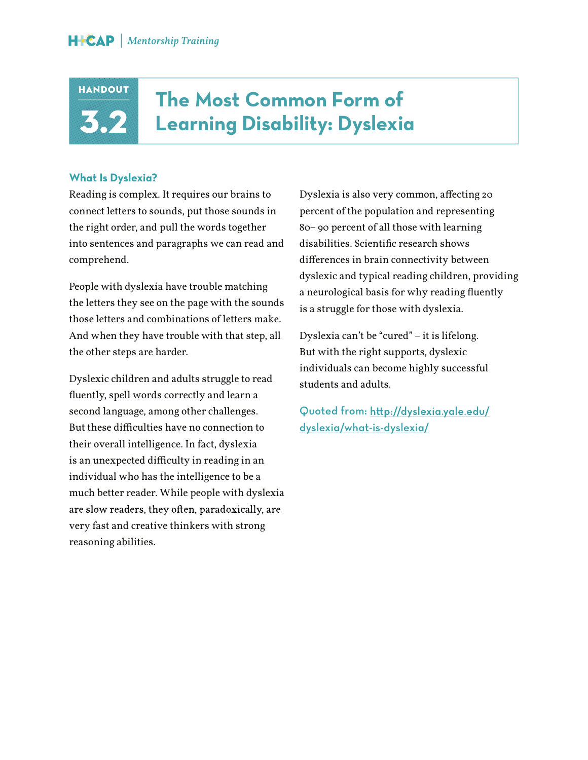

### **The Most Common Form of Learning Disability: Dyslexia**

#### **What Is Dyslexia?**

Reading is complex. It requires our brains to connect letters to sounds, put those sounds in the right order, and pull the words together into sentences and paragraphs we can read and comprehend.

People with dyslexia have trouble matching the letters they see on the page with the sounds those letters and combinations of letters make. And when they have trouble with that step, all the other steps are harder.

Dyslexic children and adults struggle to read fluently, spell words correctly and learn a second language, among other challenges. But these difficulties have no connection to their overall intelligence. In fact, dyslexia is an unexpected difficulty in reading in an individual who has the intelligence to be a much better reader. While people with dyslexia are slow readers, they often, paradoxically, are very fast and creative thinkers with strong reasoning abilities.

Dyslexia is also very common, affecting 20 percent of the population and representing 80– 90 percent of all those with learning disabilities. Scientific research shows differences in brain connectivity between dyslexic and typical reading children, providing a neurological basis for why reading fluently is a struggle for those with dyslexia.

Dyslexia can't be "cured" – it is lifelong. But with the right supports, dyslexic individuals can become highly successful students and adults.

Quoted from: http://dyslexia.yale.edu/ dyslexia/what-is-dyslexia/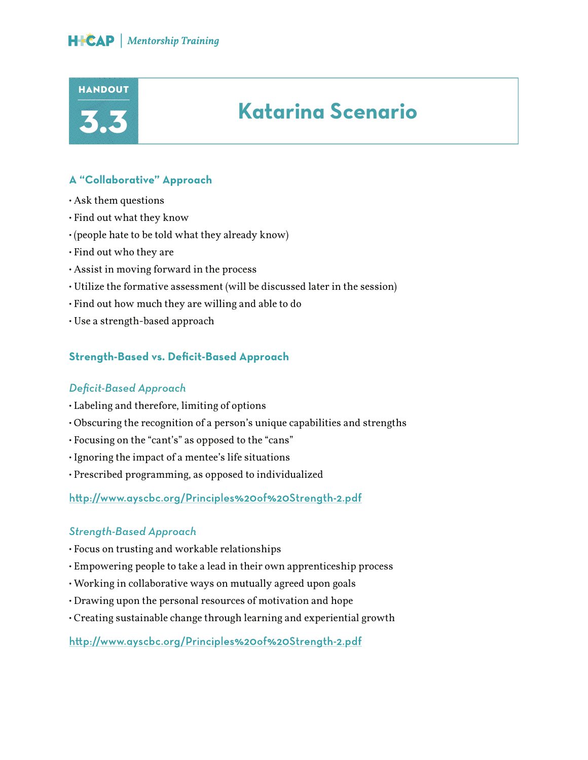

#### **A "Collaborative" Approach**

- Ask them questions
- Find out what they know
- (people hate to be told what they already know)
- Find out who they are
- Assist in moving forward in the process
- Utilize the formative assessment (will be discussed later in the session)
- Find out how much they are willing and able to do
- Use a strength-based approach

#### **Strength-Based vs. Deficit-Based Approach**

#### *Deficit-Based Approach*

- Labeling and therefore, limiting of options
- Obscuring the recognition of a person's unique capabilities and strengths
- Focusing on the "cant's" as opposed to the "cans"
- Ignoring the impact of a mentee's life situations
- Prescribed programming, as opposed to individualized

http://www.ayscbc.org/Principles%20of%20Strength-2.pdf

#### *Strength-Based Approach*

- Focus on trusting and workable relationships
- Empowering people to take a lead in their own apprenticeship process
- Working in collaborative ways on mutually agreed upon goals
- Drawing upon the personal resources of motivation and hope
- Creating sustainable change through learning and experiential growth

http://www.ayscbc.org/Principles%20of%20Strength-2.pdf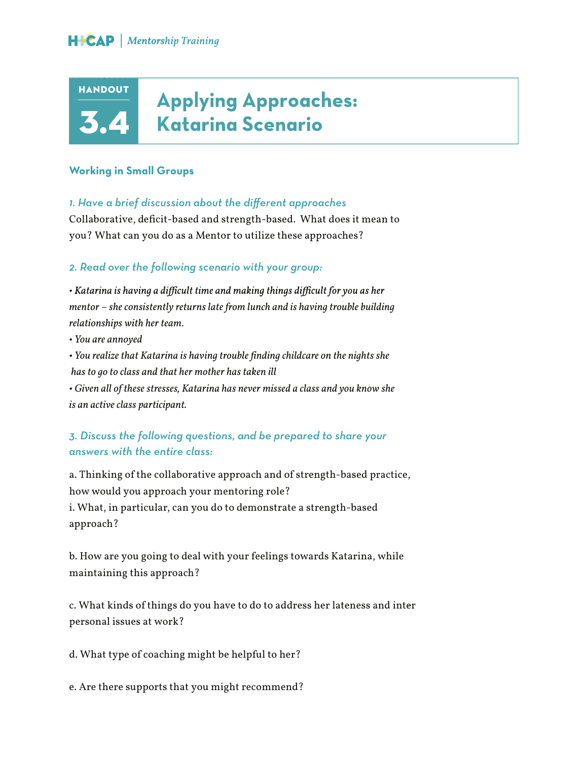### **Applying Approaches: Katarina Scenario**

#### **Working in Small Groups**

**HANDOUT** 

3.

*1. Have a brief discussion about the different approaches*

Collaborative, deficit-based and strength-based. What does it mean to you? What can you do as a Mentor to utilize these approaches?

#### *2. Read over the following scenario with your group:*

• Katarina is having a difficult time and making things difficult for you as her *mentor – she consistently returns late from lunch and is having trouble building relationships with her team.*

*• You are annoyed*

*• You realize that Katarina is having trouble finding childcare on the nights she has to go to class and that her mother has taken ill*

*• Given all of these stresses, Katarina has never missed a class and you know she is an active class participant.*

#### *3. Discuss the following questions, and be prepared to share your answers with the entire class:*

a. Thinking of the collaborative approach and of strength-based practice, how would you approach your mentoring role? i. What, in particular, can you do to demonstrate a strength-based approach?

b. How are you going to deal with your feelings towards Katarina, while maintaining this approach?

c. What kinds of things do you have to do to address her lateness and inter personal issues at work?

d. What type of coaching might be helpful to her?

e. Are there supports that you might recommend?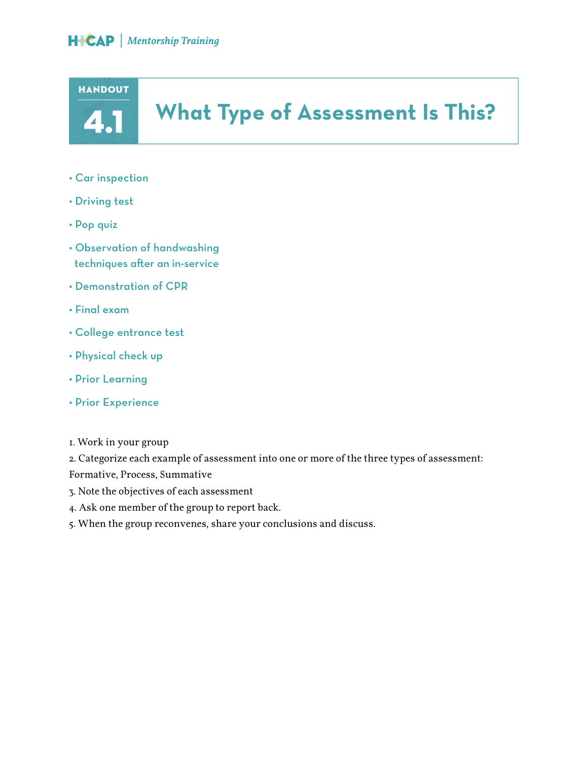

### **What Type of Assessment Is This?**

- Car inspection
- Driving test
- Pop quiz
- Observation of handwashing techniques after an in-service
- Demonstration of CPR
- Final exam
- College entrance test
- Physical check up
- Prior Learning
- Prior Experience

2. Categorize each example of assessment into one or more of the three types of assessment: Formative, Process, Summative

- 3. Note the objectives of each assessment
- 4. Ask one member of the group to report back.
- 5. When the group reconvenes, share your conclusions and discuss.

<sup>1.</sup> Work in your group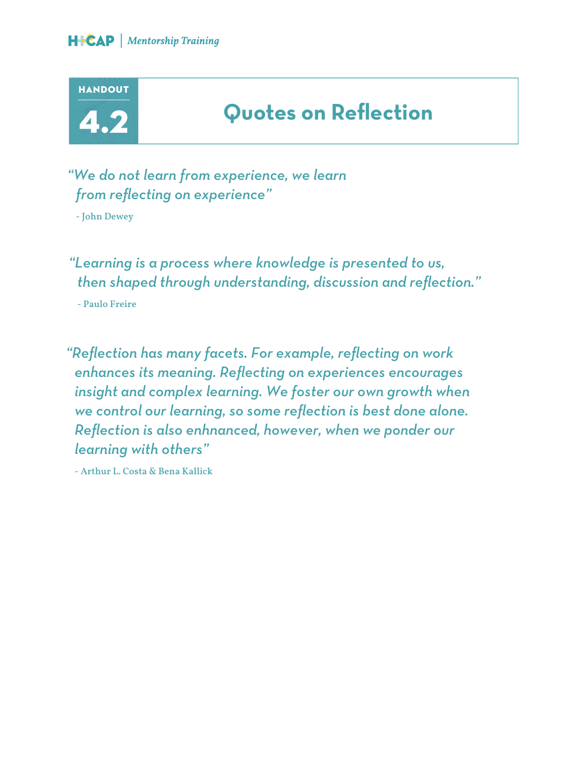



### **Quotes on Reflection**

*"We do not learn from experience, we learn from reflecting on experience"*

- John Dewey

*"Learning is a process where knowledge is presented to us, then shaped through understanding, discussion and reflection."* 

- Paulo Freire

*"Reflection has many facets. For example, reflecting on work enhances its meaning. Reflecting on experiences encourages insight and complex learning. We foster our own growth when we control our learning, so some reflection is best done alone. Reflection is also enhnanced, however, when we ponder our learning with others"* 

- Arthur L. Costa & Bena Kallick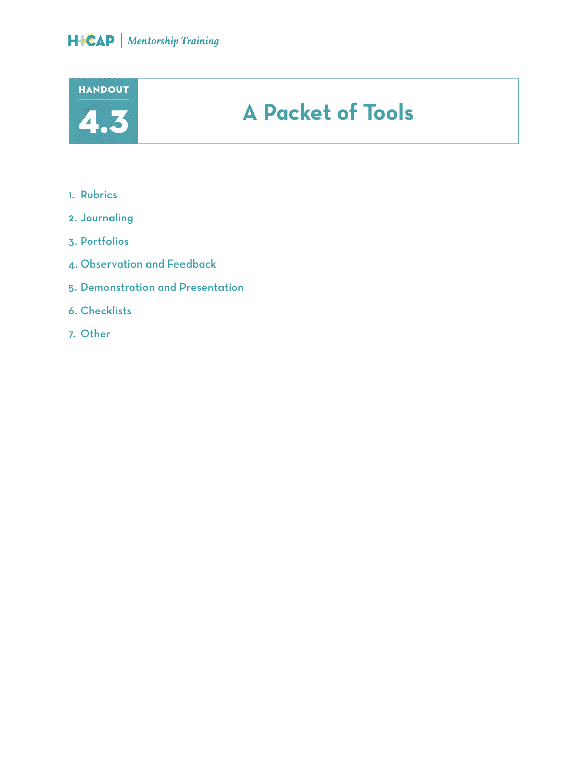



- 1. Rubrics
- 2. Journaling
- 3. Portfolios
- 4. Observation and Feedback
- 5. Demonstration and Presentation
- 6. Checklists
- 7. Other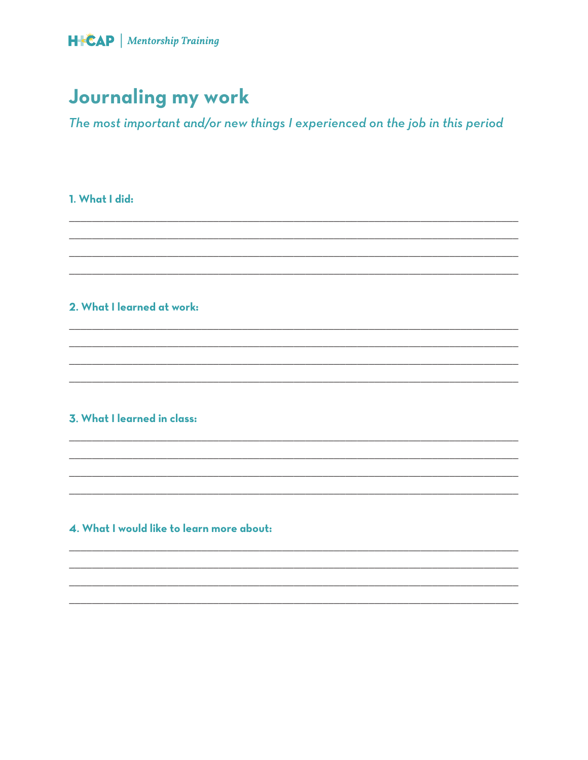

### **Journaling my work**

The most important and/or new things I experienced on the job in this period

#### 1. What I did:

#### 2. What I learned at work:

#### 3. What I learned in class:

#### 4. What I would like to learn more about: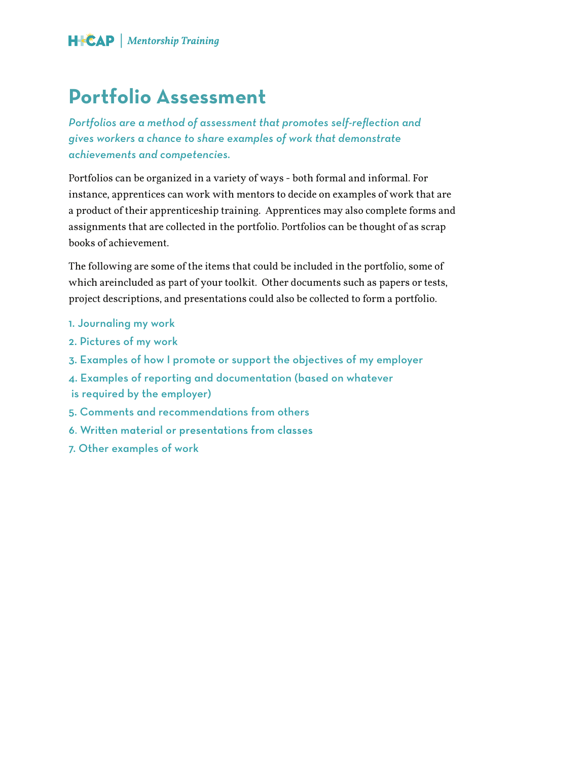### **Portfolio Assessment**

*Portfolios are a method of assessment that promotes self-reflection and gives workers a chance to share examples of work that demonstrate achievements and competencies.* 

Portfolios can be organized in a variety of ways - both formal and informal. For instance, apprentices can work with mentors to decide on examples of work that are a product of their apprenticeship training. Apprentices may also complete forms and assignments that are collected in the portfolio. Portfolios can be thought of as scrap books of achievement.

The following are some of the items that could be included in the portfolio, some of which areincluded as part of your toolkit. Other documents such as papers or tests, project descriptions, and presentations could also be collected to form a portfolio.

- 1. Journaling my work
- 2. Pictures of my work
- 3. Examples of how I promote or support the objectives of my employer
- 4. Examples of reporting and documentation (based on whatever
- is required by the employer)
- 5. Comments and recommendations from others
- 6. Written material or presentations from classes
- 7. Other examples of work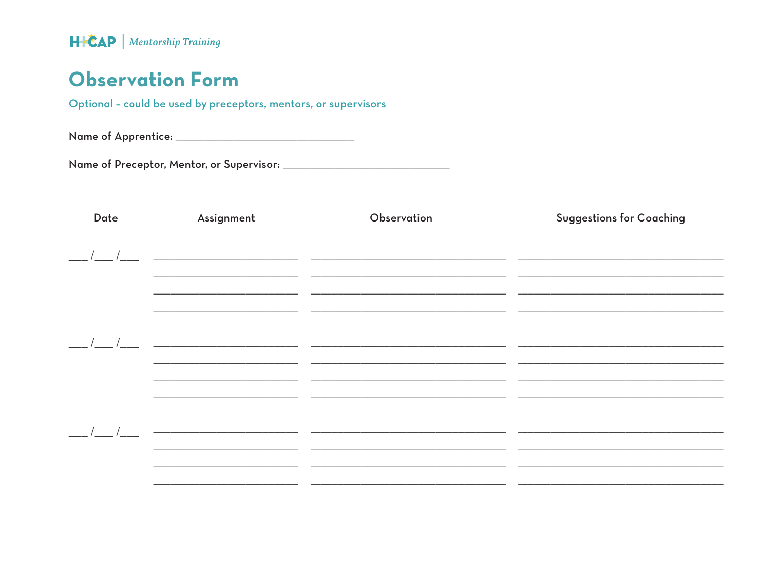### **Observation Form**

Optional - could be used by preceptors, mentors, or supervisors

Name of Apprentice: \_\_\_\_\_\_\_\_\_\_\_\_\_\_\_\_\_\_\_\_\_\_\_\_\_\_\_\_\_\_\_\_\_\_

| Date | Assignment                                                                                                            | Observation                                                                                                            | <b>Suggestions for Coaching</b> |
|------|-----------------------------------------------------------------------------------------------------------------------|------------------------------------------------------------------------------------------------------------------------|---------------------------------|
|      |                                                                                                                       |                                                                                                                        |                                 |
|      |                                                                                                                       |                                                                                                                        |                                 |
|      |                                                                                                                       |                                                                                                                        |                                 |
|      |                                                                                                                       |                                                                                                                        |                                 |
|      |                                                                                                                       |                                                                                                                        |                                 |
|      |                                                                                                                       |                                                                                                                        |                                 |
|      |                                                                                                                       |                                                                                                                        |                                 |
|      |                                                                                                                       |                                                                                                                        |                                 |
|      |                                                                                                                       |                                                                                                                        |                                 |
|      |                                                                                                                       | <u> 1980 - Andrea Santa Alemania, amerikana amerikana amerikana amerikana amerikana amerikana amerikana amerikan</u>   |                                 |
|      |                                                                                                                       |                                                                                                                        |                                 |
|      |                                                                                                                       | <u> 1999 - Johann Harry Barn, mars ann an t-Amhain ann an t-Amhain ann an t-Amhain ann an t-Amhain ann an t-Amhain</u> |                                 |
|      |                                                                                                                       |                                                                                                                        |                                 |
|      | <u> 2000 - Jan Barnett, mars ann an t-Amhain an t-Amhain an t-Amhain an t-Amhain an t-Amhain an t-Amhain an t-Amh</u> |                                                                                                                        |                                 |
|      |                                                                                                                       |                                                                                                                        |                                 |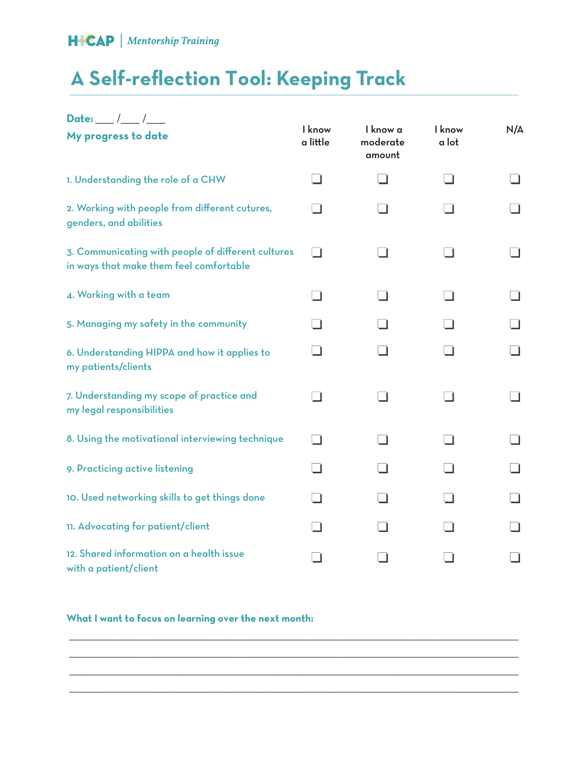### **A Self-reflection Tool: Keeping Track**

| Date: ___ /___ /___                                                                           |                    |                                |                 |     |
|-----------------------------------------------------------------------------------------------|--------------------|--------------------------------|-----------------|-----|
| My progress to date                                                                           | I know<br>a little | I know a<br>moderate<br>amount | I know<br>a lot | N/A |
| 1. Understanding the role of a CHW                                                            |                    |                                |                 |     |
| 2. Working with people from different cutures,<br>genders, and abilities                      |                    |                                |                 |     |
| 3. Communicating with people of different cultures<br>in ways that make them feel comfortable |                    |                                |                 |     |
| 4. Working with a team                                                                        |                    |                                |                 |     |
| 5. Managing my safety in the community                                                        |                    |                                |                 |     |
| 6. Understanding HIPPA and how it applies to<br>my patients/clients                           |                    |                                |                 |     |
| 7. Understanding my scope of practice and<br>my legal responsibilities                        |                    |                                |                 |     |
| 8. Using the motivational interviewing technique                                              |                    |                                |                 |     |
| 9. Practicing active listening                                                                |                    |                                |                 |     |
| 10. Used networking skills to get things done                                                 |                    |                                |                 |     |
| 11. Advocating for patient/client                                                             |                    |                                |                 |     |
| 12. Shared information on a health issue<br>with a patient/client                             |                    |                                |                 |     |

\_\_\_\_\_\_\_\_\_\_\_\_\_\_\_\_\_\_\_\_\_\_\_\_\_\_\_\_\_\_\_\_\_\_\_\_\_\_\_\_\_\_\_\_\_\_\_\_\_\_\_\_\_\_\_\_\_\_\_\_\_\_\_\_\_\_\_\_\_\_\_\_\_\_\_\_\_\_\_\_\_\_\_\_\_\_\_\_\_\_\_\_\_\_\_\_\_\_\_ \_\_\_\_\_\_\_\_\_\_\_\_\_\_\_\_\_\_\_\_\_\_\_\_\_\_\_\_\_\_\_\_\_\_\_\_\_\_\_\_\_\_\_\_\_\_\_\_\_\_\_\_\_\_\_\_\_\_\_\_\_\_\_\_\_\_\_\_\_\_\_\_\_\_\_\_\_\_\_\_\_\_\_\_\_\_\_\_\_\_\_\_\_\_\_\_\_\_\_ \_\_\_\_\_\_\_\_\_\_\_\_\_\_\_\_\_\_\_\_\_\_\_\_\_\_\_\_\_\_\_\_\_\_\_\_\_\_\_\_\_\_\_\_\_\_\_\_\_\_\_\_\_\_\_\_\_\_\_\_\_\_\_\_\_\_\_\_\_\_\_\_\_\_\_\_\_\_\_\_\_\_\_\_\_\_\_\_\_\_\_\_\_\_\_\_\_\_\_ \_\_\_\_\_\_\_\_\_\_\_\_\_\_\_\_\_\_\_\_\_\_\_\_\_\_\_\_\_\_\_\_\_\_\_\_\_\_\_\_\_\_\_\_\_\_\_\_\_\_\_\_\_\_\_\_\_\_\_\_\_\_\_\_\_\_\_\_\_\_\_\_\_\_\_\_\_\_\_\_\_\_\_\_\_\_\_\_\_\_\_\_\_\_\_\_\_\_\_

#### **What I want to focus on learning over the next month:**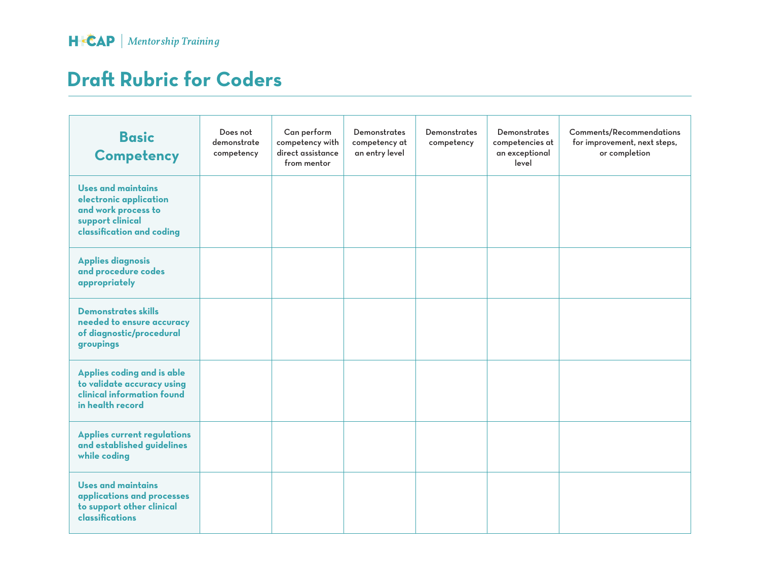### **Dra! Rubric for Coders**

| <b>Basic</b><br>Competency                                                                                                  | Does not<br>demonstrate<br>competency | Can perform<br>competency with<br>direct assistance<br>from mentor | <b>Demonstrates</b><br>competency at<br>an entry level | <b>Demonstrates</b><br>competency | <b>Demonstrates</b><br>competencies at<br>an exceptional<br>level | <b>Comments/Recommendations</b><br>for improvement, next steps,<br>or completion |
|-----------------------------------------------------------------------------------------------------------------------------|---------------------------------------|--------------------------------------------------------------------|--------------------------------------------------------|-----------------------------------|-------------------------------------------------------------------|----------------------------------------------------------------------------------|
| <b>Uses and maintains</b><br>electronic application<br>and work process to<br>support clinical<br>classification and coding |                                       |                                                                    |                                                        |                                   |                                                                   |                                                                                  |
| <b>Applies diagnosis</b><br>and procedure codes<br>appropriately                                                            |                                       |                                                                    |                                                        |                                   |                                                                   |                                                                                  |
| <b>Demonstrates skills</b><br>needed to ensure accuracy<br>of diagnostic/procedural<br>groupings                            |                                       |                                                                    |                                                        |                                   |                                                                   |                                                                                  |
| Applies coding and is able<br>to validate accuracy using<br>clinical information found<br>in health record                  |                                       |                                                                    |                                                        |                                   |                                                                   |                                                                                  |
| <b>Applies current regulations</b><br>and established guidelines<br>while coding                                            |                                       |                                                                    |                                                        |                                   |                                                                   |                                                                                  |
| Uses and maintains<br>applications and processes<br>to support other clinical<br>classifications                            |                                       |                                                                    |                                                        |                                   |                                                                   |                                                                                  |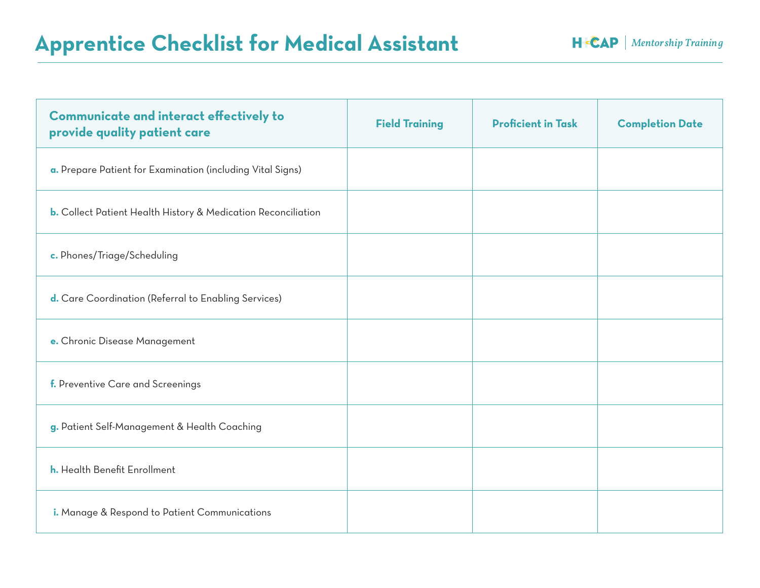### Apprentice Checklist for Medical Assistant **HEXAP | Mentorship Training**

| <b>Communicate and interact effectively to</b><br>provide quality patient care | <b>Field Training</b> | <b>Proficient in Task</b> | <b>Completion Date</b> |
|--------------------------------------------------------------------------------|-----------------------|---------------------------|------------------------|
| a. Prepare Patient for Examination (including Vital Signs)                     |                       |                           |                        |
| <b>b.</b> Collect Patient Health History & Medication Reconciliation           |                       |                           |                        |
| c. Phones/Triage/Scheduling                                                    |                       |                           |                        |
| d. Care Coordination (Referral to Enabling Services)                           |                       |                           |                        |
| e. Chronic Disease Management                                                  |                       |                           |                        |
| f. Preventive Care and Screenings                                              |                       |                           |                        |
| g. Patient Self-Management & Health Coaching                                   |                       |                           |                        |
| h. Health Benefit Enrollment                                                   |                       |                           |                        |
| i. Manage & Respond to Patient Communications                                  |                       |                           |                        |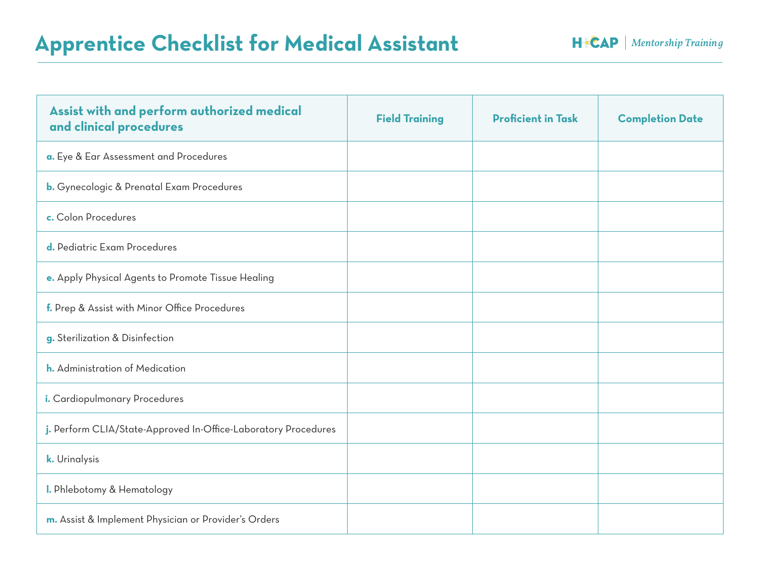### Apprentice Checklist for Medical Assistant **HEXAP | Mentorship Training**

| Assist with and perform authorized medical<br>and clinical procedures | <b>Field Training</b> | <b>Proficient in Task</b> | <b>Completion Date</b> |
|-----------------------------------------------------------------------|-----------------------|---------------------------|------------------------|
| a. Eye & Ear Assessment and Procedures                                |                       |                           |                        |
| <b>b.</b> Gynecologic & Prenatal Exam Procedures                      |                       |                           |                        |
| c. Colon Procedures                                                   |                       |                           |                        |
| d. Pediatric Exam Procedures                                          |                       |                           |                        |
| e. Apply Physical Agents to Promote Tissue Healing                    |                       |                           |                        |
| f. Prep & Assist with Minor Office Procedures                         |                       |                           |                        |
| g. Sterilization & Disinfection                                       |                       |                           |                        |
| h. Administration of Medication                                       |                       |                           |                        |
| i. Cardiopulmonary Procedures                                         |                       |                           |                        |
| j. Perform CLIA/State-Approved In-Office-Laboratory Procedures        |                       |                           |                        |
| k. Urinalysis                                                         |                       |                           |                        |
| I. Phlebotomy & Hematology                                            |                       |                           |                        |
| m. Assist & Implement Physician or Provider's Orders                  |                       |                           |                        |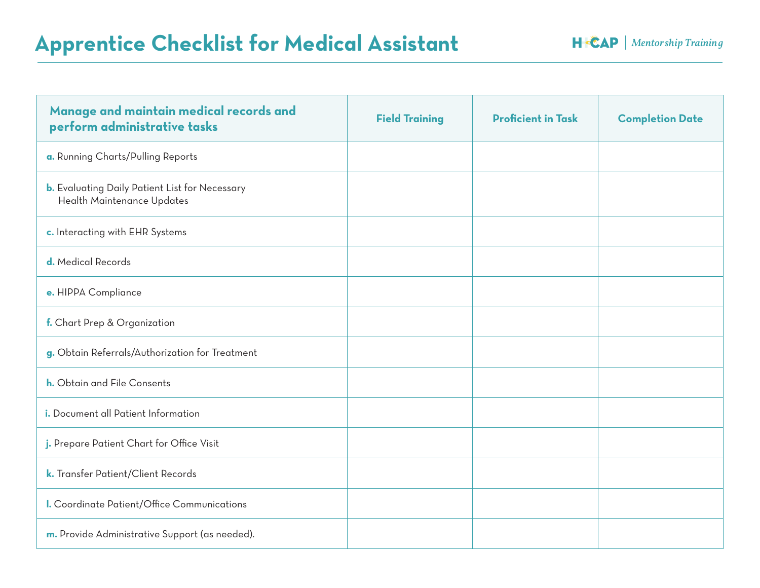### Apprentice Checklist for Medical Assistant **HEXAP | Mentorship Training**

| Manage and maintain medical records and<br>perform administrative tasks             | <b>Field Training</b> | <b>Proficient in Task</b> | <b>Completion Date</b> |
|-------------------------------------------------------------------------------------|-----------------------|---------------------------|------------------------|
| a. Running Charts/Pulling Reports                                                   |                       |                           |                        |
| <b>b.</b> Evaluating Daily Patient List for Necessary<br>Health Maintenance Updates |                       |                           |                        |
| c. Interacting with EHR Systems                                                     |                       |                           |                        |
| d. Medical Records                                                                  |                       |                           |                        |
| e. HIPPA Compliance                                                                 |                       |                           |                        |
| f. Chart Prep & Organization                                                        |                       |                           |                        |
| g. Obtain Referrals/Authorization for Treatment                                     |                       |                           |                        |
| <b>h.</b> Obtain and File Consents                                                  |                       |                           |                        |
| i. Document all Patient Information                                                 |                       |                           |                        |
| j. Prepare Patient Chart for Office Visit                                           |                       |                           |                        |
| k. Transfer Patient/Client Records                                                  |                       |                           |                        |
| I. Coordinate Patient/Office Communications                                         |                       |                           |                        |
| m. Provide Administrative Support (as needed).                                      |                       |                           |                        |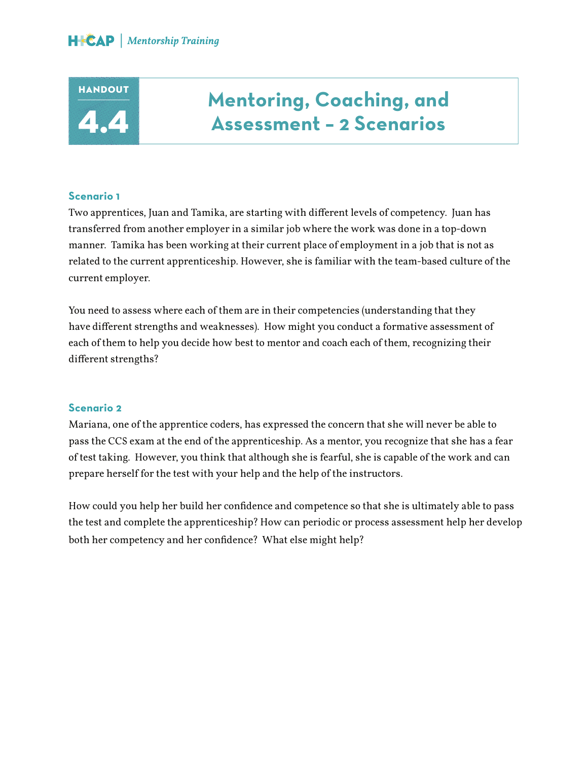### **HANDOUT** 4.4

### **Mentoring, Coaching, and Assessment – 2 Scenarios**

#### **Scenario 1**

Two apprentices, Juan and Tamika, are starting with different levels of competency. Juan has transferred from another employer in a similar job where the work was done in a top-down manner. Tamika has been working at their current place of employment in a job that is not as related to the current apprenticeship. However, she is familiar with the team-based culture of the current employer.

You need to assess where each of them are in their competencies (understanding that they have different strengths and weaknesses). How might you conduct a formative assessment of each of them to help you decide how best to mentor and coach each of them, recognizing their different strengths?

#### **Scenario 2**

Mariana, one of the apprentice coders, has expressed the concern that she will never be able to pass the CCS exam at the end of the apprenticeship. As a mentor, you recognize that she has a fear of test taking. However, you think that although she is fearful, she is capable of the work and can prepare herself for the test with your help and the help of the instructors.

How could you help her build her confidence and competence so that she is ultimately able to pass the test and complete the apprenticeship? How can periodic or process assessment help her develop both her competency and her confidence? What else might help?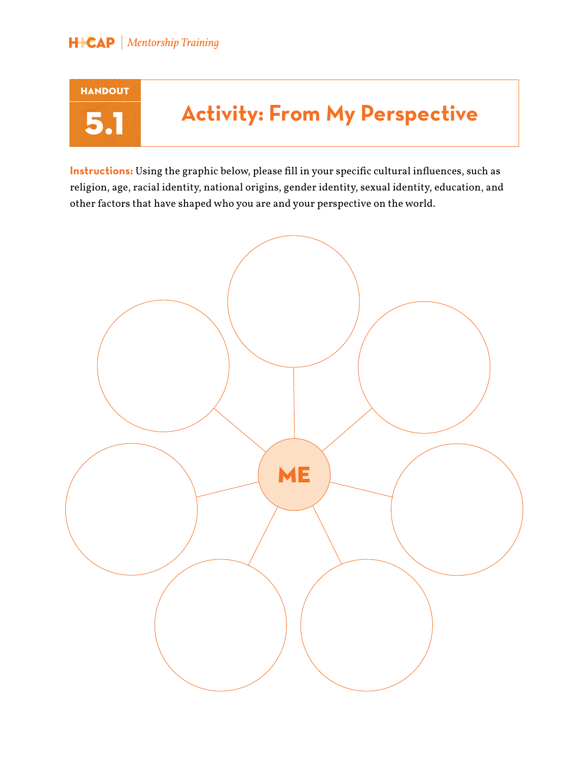# HANDOUT

## 5.1 **Activity: From My Perspective**

**Instructions:** Using the graphic below, please fill in your specific cultural influences, such as religion, age, racial identity, national origins, gender identity, sexual identity, education, and other factors that have shaped who you are and your perspective on the world.

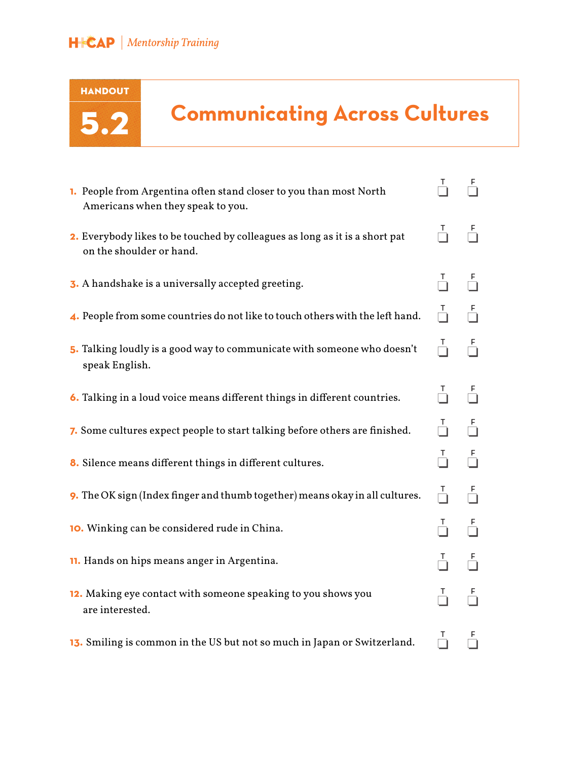

## 5.2 **Communicating Across Cultures**

| 1. People from Argentina often stand closer to you than most North<br>Americans when they speak to you. | T                    | F             |
|---------------------------------------------------------------------------------------------------------|----------------------|---------------|
| 2. Everybody likes to be touched by colleagues as long as it is a short pat<br>on the shoulder or hand. | $\frac{1}{\sqrt{2}}$ |               |
| 3. A handshake is a universally accepted greeting.                                                      |                      |               |
| 4. People from some countries do not like to touch others with the left hand.                           | $\frac{1}{\epsilon}$ |               |
| 5. Talking loudly is a good way to communicate with someone who doesn't<br>speak English.               |                      |               |
| 6. Talking in a loud voice means different things in different countries.                               |                      |               |
| 7. Some cultures expect people to start talking before others are finished.                             |                      |               |
| 8. Silence means different things in different cultures.                                                |                      | $\frac{F}{1}$ |
| 9. The OK sign (Index finger and thumb together) means okay in all cultures.                            | $\frac{1}{\sqrt{2}}$ |               |
| 10. Winking can be considered rude in China.                                                            | T.                   | F             |
| 11. Hands on hips means anger in Argentina.                                                             |                      |               |
| 12. Making eye contact with someone speaking to you shows you<br>are interested.                        |                      |               |
| 13. Smiling is common in the US but not so much in Japan or Switzerland.                                | T.                   | F             |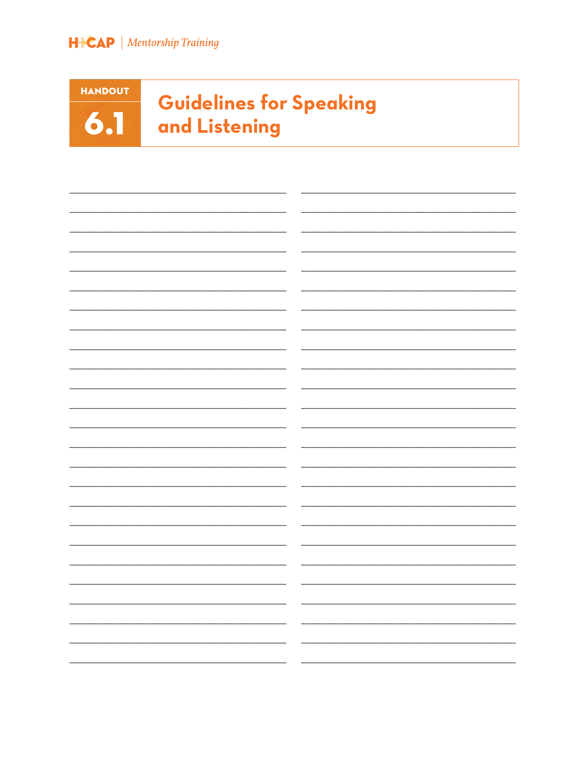

**HANDOUT**  $6.1$ 

### **Guidelines for Speaking** and Listening

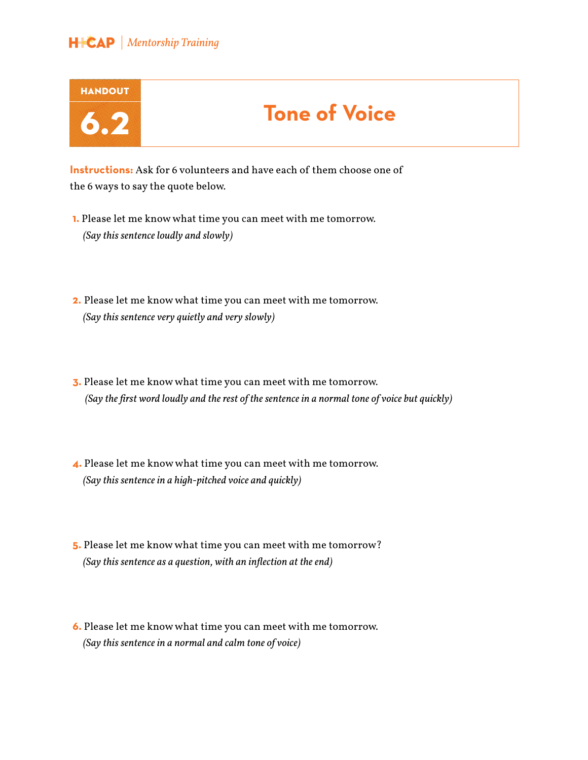

**Instructions:** Ask for 6 volunteers and have each of them choose one of the 6 ways to say the quote below.

**1.** Please let me know what time you can meet with me tomorrow. *(Say this sentence loudly and slowly)*

**2.** Please let me know what time you can meet with me tomorrow. *(Say this sentence very quietly and very slowly)*

**3.** Please let me know what time you can meet with me tomorrow.  *(Say the first word loudly and the rest of the sentence in a normal tone of voice but quickly)*

**4.** Please let me know what time you can meet with me tomorrow. *(Say this sentence in a high-pitched voice and quickly)* 

**5.** Please let me know what time you can meet with me tomorrow? *(Say this sentence as a question, with an inflection at the end)*

**6.** Please let me know what time you can meet with me tomorrow. *(Say this sentence in a normal and calm tone of voice)*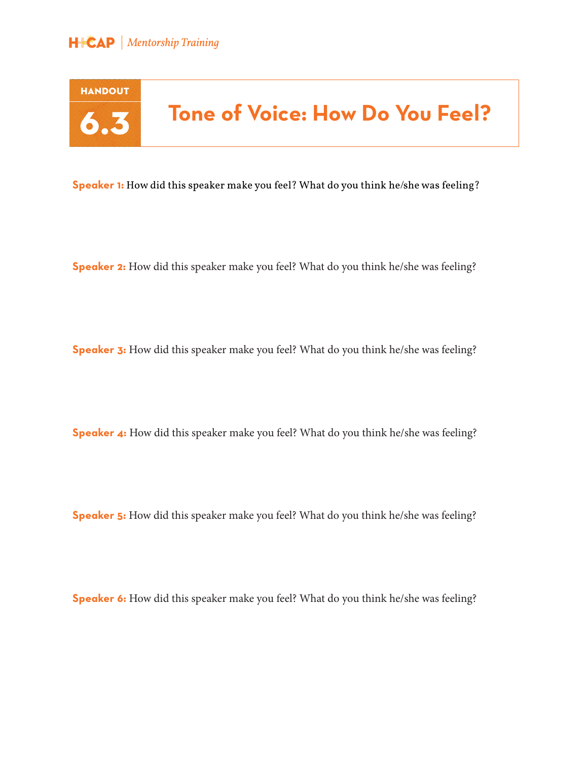



## 6.3 **Tone of Voice: How Do You Feel?**

**Speaker 1:** How did this speaker make you feel? What do you think he/she was feeling?

**Speaker 2:** How did this speaker make you feel? What do you think he/she was feeling?

**Speaker 3:** How did this speaker make you feel? What do you think he/she was feeling?

**Speaker 4:** How did this speaker make you feel? What do you think he/she was feeling?

**Speaker 5:** How did this speaker make you feel? What do you think he/she was feeling?

**Speaker 6:** How did this speaker make you feel? What do you think he/she was feeling?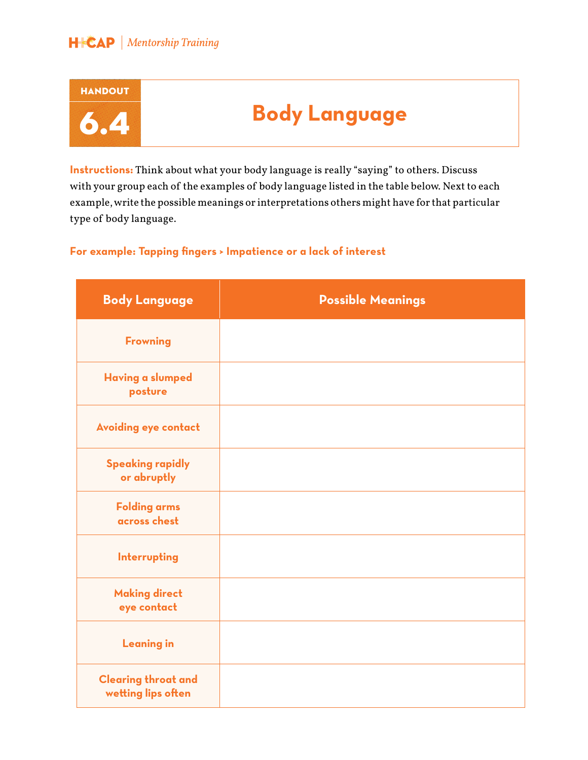

**Instructions:** Think about what your body language is really "saying" to others. Discuss with your group each of the examples of body language listed in the table below. Next to each example, write the possible meanings or interpretations others might have for that particular type of body language.

#### **For example: Tapping fingers > Impatience or a lack of interest**

| <b>Body Language</b>                             | <b>Possible Meanings</b> |
|--------------------------------------------------|--------------------------|
| <b>Frowning</b>                                  |                          |
| <b>Having a slumped</b><br>posture               |                          |
| <b>Avoiding eye contact</b>                      |                          |
| <b>Speaking rapidly</b><br>or abruptly           |                          |
| <b>Folding arms</b><br>across chest              |                          |
| Interrupting                                     |                          |
| <b>Making direct</b><br>eye contact              |                          |
| <b>Leaning in</b>                                |                          |
| <b>Clearing throat and</b><br>wetting lips often |                          |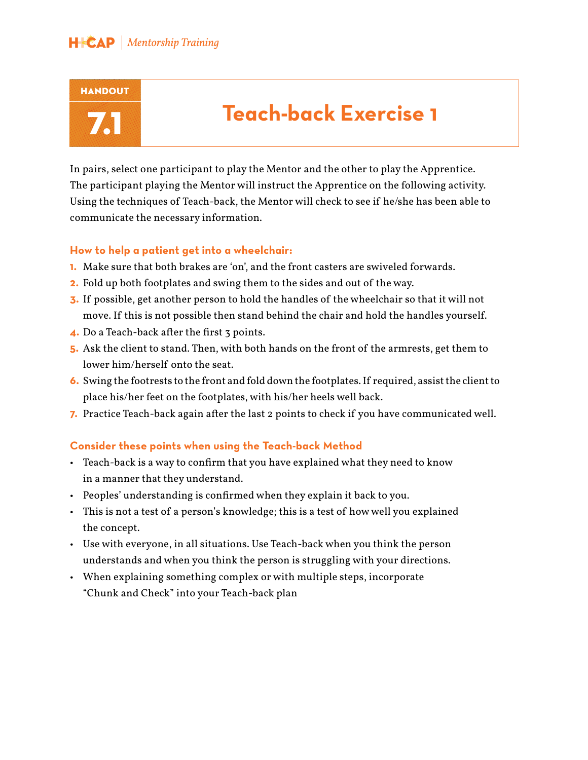

## 7.1 **Teach-back Exercise 1**

In pairs, select one participant to play the Mentor and the other to play the Apprentice. The participant playing the Mentor will instruct the Apprentice on the following activity. Using the techniques of Teach-back, the Mentor will check to see if he/she has been able to communicate the necessary information.

#### **How to help a patient get into a wheelchair:**

- **1.** Make sure that both brakes are 'on', and the front casters are swiveled forwards.
- **2.** Fold up both footplates and swing them to the sides and out of the way.
- **3.** If possible, get another person to hold the handles of the wheelchair so that it will not move. If this is not possible then stand behind the chair and hold the handles yourself.
- **4.** Do a Teach-back after the first 3 points.
- **5.** Ask the client to stand. Then, with both hands on the front of the armrests, get them to lower him/herself onto the seat.
- **6.** Swing the footrests to the front and fold down the footplates. If required, assist the client to place his/her feet on the footplates, with his/her heels well back.
- **7.** Practice Teach-back again after the last 2 points to check if you have communicated well.

#### **Consider these points when using the Teach-back Method**

- Teach-back is a way to confirm that you have explained what they need to know in a manner that they understand.
- Peoples' understanding is confirmed when they explain it back to you.
- This is not a test of a person's knowledge; this is a test of how well you explained the concept.
- Use with everyone, in all situations. Use Teach-back when you think the person understands and when you think the person is struggling with your directions.
- When explaining something complex or with multiple steps, incorporate "Chunk and Check" into your Teach-back plan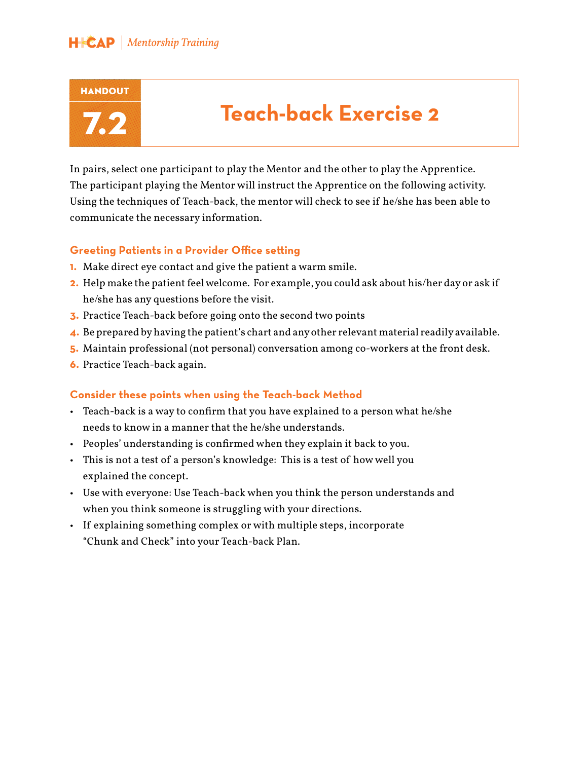

## 7.2 **Teach-back Exercise 2**

In pairs, select one participant to play the Mentor and the other to play the Apprentice. The participant playing the Mentor will instruct the Apprentice on the following activity. Using the techniques of Teach-back, the mentor will check to see if he/she has been able to communicate the necessary information.

#### **Greeting Patients in a Provider Office setting**

- **1.** Make direct eye contact and give the patient a warm smile.
- **2.** Help make the patient feel welcome. For example, you could ask about his/her day or ask if he/she has any questions before the visit.
- **3.** Practice Teach-back before going onto the second two points
- **4.** Be prepared by having the patient's chart and any other relevant material readily available.
- **5.** Maintain professional (not personal) conversation among co-workers at the front desk.
- **6.** Practice Teach-back again.

#### **Consider these points when using the Teach-back Method**

- Teach-back is a way to confirm that you have explained to a person what he/she needs to know in a manner that the he/she understands.
- Peoples' understanding is confirmed when they explain it back to you.
- This is not a test of a person's knowledge: This is a test of how well you explained the concept.
- Use with everyone: Use Teach-back when you think the person understands and when you think someone is struggling with your directions.
- If explaining something complex or with multiple steps, incorporate "Chunk and Check" into your Teach-back Plan.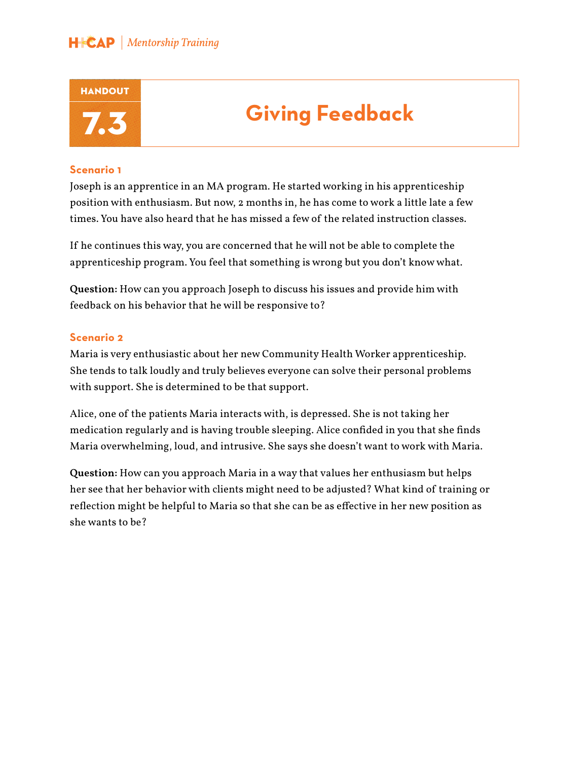

## 7.3 **Giving Feedback**

#### **Scenario 1**

Joseph is an apprentice in an MA program. He started working in his apprenticeship position with enthusiasm. But now, 2 months in, he has come to work a little late a few times. You have also heard that he has missed a few of the related instruction classes.

If he continues this way, you are concerned that he will not be able to complete the apprenticeship program. You feel that something is wrong but you don't know what.

**Question:** How can you approach Joseph to discuss his issues and provide him with feedback on his behavior that he will be responsive to?

#### **Scenario 2**

Maria is very enthusiastic about her new Community Health Worker apprenticeship. She tends to talk loudly and truly believes everyone can solve their personal problems with support. She is determined to be that support.

Alice, one of the patients Maria interacts with, is depressed. She is not taking her medication regularly and is having trouble sleeping. Alice confided in you that she finds Maria overwhelming, loud, and intrusive. She says she doesn't want to work with Maria.

**Question:** How can you approach Maria in a way that values her enthusiasm but helps her see that her behavior with clients might need to be adjusted? What kind of training or reflection might be helpful to Maria so that she can be as effective in her new position as she wants to be?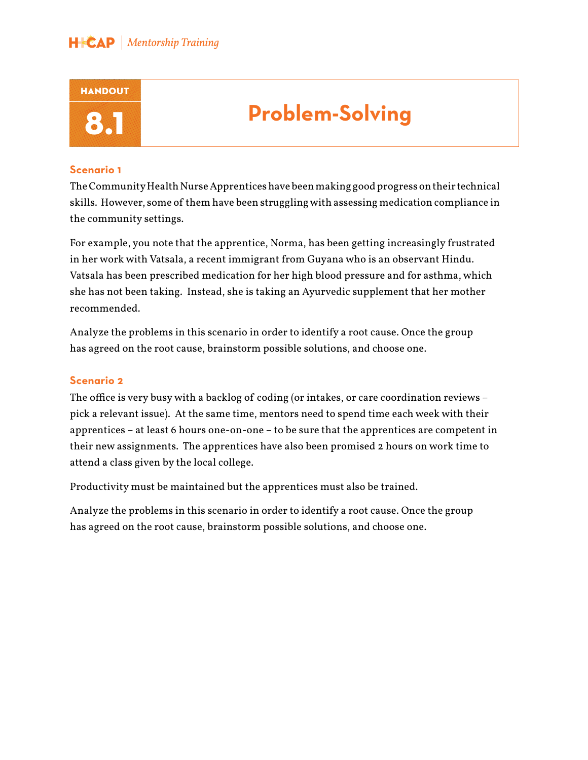

### **Problem-Solving**

#### **Scenario 1**

The Community Health Nurse Apprentices have been making good progress on their technical skills. However, some of them have been struggling with assessing medication compliance in the community settings.

For example, you note that the apprentice, Norma, has been getting increasingly frustrated in her work with Vatsala, a recent immigrant from Guyana who is an observant Hindu. Vatsala has been prescribed medication for her high blood pressure and for asthma, which she has not been taking. Instead, she is taking an Ayurvedic supplement that her mother recommended.

Analyze the problems in this scenario in order to identify a root cause. Once the group has agreed on the root cause, brainstorm possible solutions, and choose one.

#### **Scenario 2**

The office is very busy with a backlog of coding (or intakes, or care coordination reviews – pick a relevant issue). At the same time, mentors need to spend time each week with their apprentices – at least 6 hours one-on-one – to be sure that the apprentices are competent in their new assignments. The apprentices have also been promised 2 hours on work time to attend a class given by the local college.

Productivity must be maintained but the apprentices must also be trained.

Analyze the problems in this scenario in order to identify a root cause. Once the group has agreed on the root cause, brainstorm possible solutions, and choose one.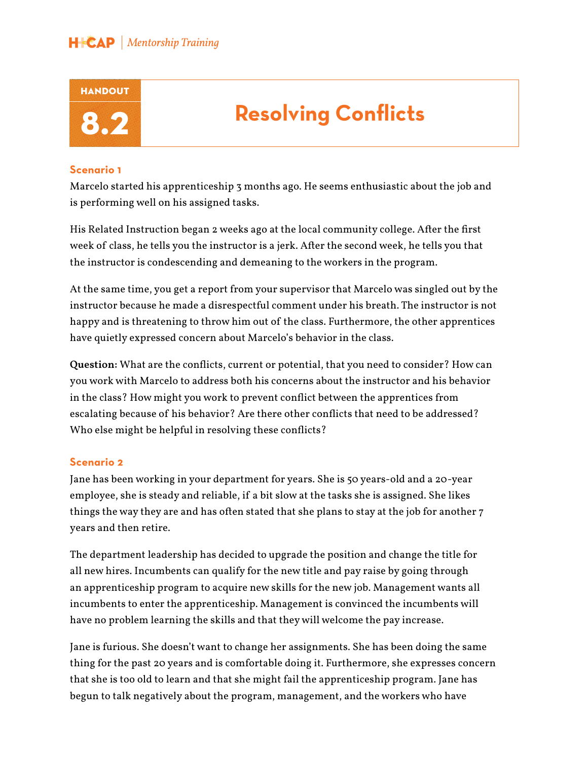

### **Resolving Conflicts**

#### **Scenario 1**

Marcelo started his apprenticeship 3 months ago. He seems enthusiastic about the job and is performing well on his assigned tasks.

His Related Instruction began 2 weeks ago at the local community college. After the first week of class, he tells you the instructor is a jerk. After the second week, he tells you that the instructor is condescending and demeaning to the workers in the program.

At the same time, you get a report from your supervisor that Marcelo was singled out by the instructor because he made a disrespectful comment under his breath. The instructor is not happy and is threatening to throw him out of the class. Furthermore, the other apprentices have quietly expressed concern about Marcelo's behavior in the class.

**Question:** What are the conflicts, current or potential, that you need to consider? How can you work with Marcelo to address both his concerns about the instructor and his behavior in the class? How might you work to prevent conflict between the apprentices from escalating because of his behavior? Are there other conflicts that need to be addressed? Who else might be helpful in resolving these conflicts?

#### **Scenario 2**

Jane has been working in your department for years. She is 50 years-old and a 20-year employee, she is steady and reliable, if a bit slow at the tasks she is assigned. She likes things the way they are and has often stated that she plans to stay at the job for another 7 years and then retire.

The department leadership has decided to upgrade the position and change the title for all new hires. Incumbents can qualify for the new title and pay raise by going through an apprenticeship program to acquire new skills for the new job. Management wants all incumbents to enter the apprenticeship. Management is convinced the incumbents will have no problem learning the skills and that they will welcome the pay increase.

Jane is furious. She doesn't want to change her assignments. She has been doing the same thing for the past 20 years and is comfortable doing it. Furthermore, she expresses concern that she is too old to learn and that she might fail the apprenticeship program. Jane has begun to talk negatively about the program, management, and the workers who have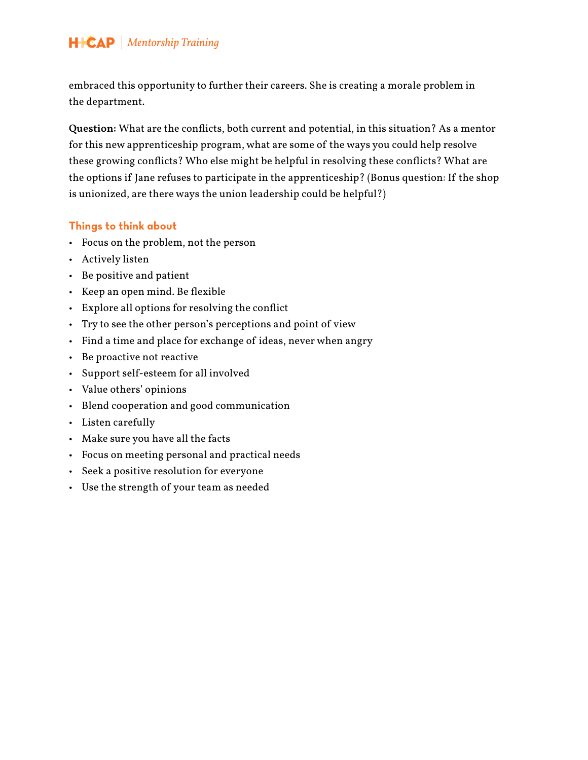embraced this opportunity to further their careers. She is creating a morale problem in the department.

**Question:** What are the conflicts, both current and potential, in this situation? As a mentor for this new apprenticeship program, what are some of the ways you could help resolve these growing conflicts? Who else might be helpful in resolving these conflicts? What are the options if Jane refuses to participate in the apprenticeship? (Bonus question: If the shop is unionized, are there ways the union leadership could be helpful?)

#### **Things to think about**

- Focus on the problem, not the person
- Actively listen
- Be positive and patient
- Keep an open mind. Be flexible
- Explore all options for resolving the conflict
- Try to see the other person's perceptions and point of view
- Find a time and place for exchange of ideas, never when angry
- Be proactive not reactive
- Support self-esteem for all involved
- Value others' opinions
- Blend cooperation and good communication
- Listen carefully
- Make sure you have all the facts
- Focus on meeting personal and practical needs
- Seek a positive resolution for everyone
- Use the strength of your team as needed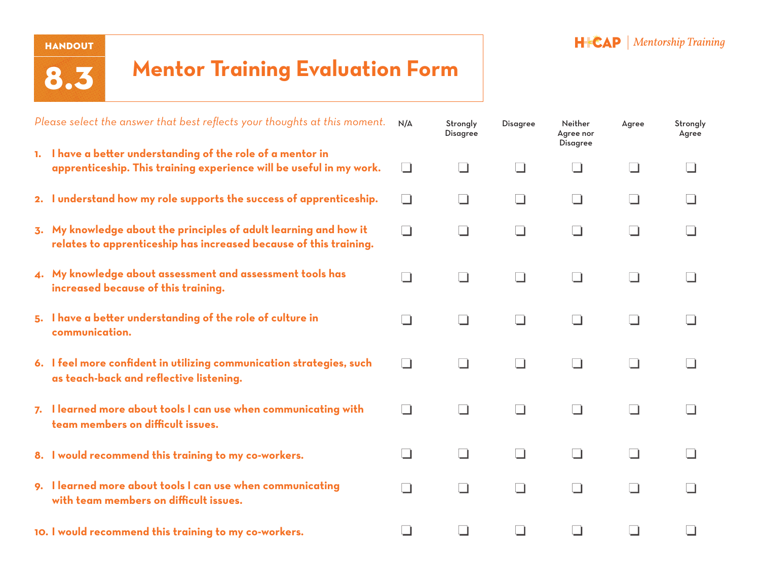#### **HANDOUT**

8.3

### **Mentor Training Evaluation Form**

| Please select the answer that best reflects your thoughts at this moment. |                                                                                                                                        | N/A          | Strongly<br><b>Disagree</b> | <b>Disagree</b> | Neither<br>Agree nor<br><b>Disagree</b> | Agree  | Strongly<br>Agree |
|---------------------------------------------------------------------------|----------------------------------------------------------------------------------------------------------------------------------------|--------------|-----------------------------|-----------------|-----------------------------------------|--------|-------------------|
|                                                                           | 1. I have a better understanding of the role of a mentor in<br>apprenticeship. This training experience will be useful in my work.     | $\Box$       | l 1                         | l 1             |                                         |        |                   |
|                                                                           | 2. I understand how my role supports the success of apprenticeship.                                                                    | $\Box$       | $\Box$                      | $\Box$          | $\Box$                                  |        |                   |
|                                                                           | 3. My knowledge about the principles of adult learning and how it<br>relates to apprenticeship has increased because of this training. | $\mathbf{r}$ | $\blacksquare$              | $\Box$          | $\blacksquare$                          |        |                   |
|                                                                           | 4. My knowledge about assessment and assessment tools has<br>increased because of this training.                                       | - 1          |                             | $\blacksquare$  |                                         |        |                   |
|                                                                           | 5. I have a better understanding of the role of culture in<br>communication.                                                           | $\Box$       | $\Box$                      | $\Box$          | $\Box$                                  |        |                   |
|                                                                           | 6. I feel more confident in utilizing communication strategies, such<br>as teach-back and reflective listening.                        | $\Box$       | $\Box$                      | $\Box$          | $\Box$                                  | $\Box$ |                   |
|                                                                           | 7. I learned more about tools I can use when communicating with<br>team members on difficult issues.                                   | $\Box$       | $\Box$                      | $\Box$          | $\Box$                                  | $\Box$ | - 1               |
|                                                                           | 8. I would recommend this training to my co-workers.                                                                                   | $\Box$       | $\Box$                      | $\Box$          | $\Box$                                  |        |                   |
|                                                                           | 9. I learned more about tools I can use when communicating<br>with team members on difficult issues.                                   | $\Box$       | l 1                         | $\Box$          | l 1                                     |        |                   |
|                                                                           | 10. I would recommend this training to my co-workers.                                                                                  |              |                             |                 |                                         |        |                   |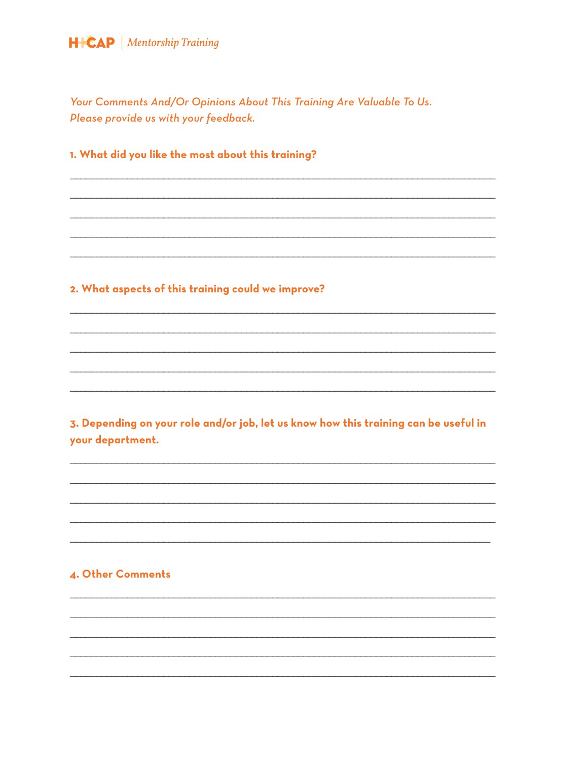Your Comments And/Or Opinions About This Training Are Valuable To Us. Please provide us with your feedback.

#### 1. What did you like the most about this training?

#### 2. What aspects of this training could we improve?

3. Depending on your role and/or job, let us know how this training can be useful in your department.

#### 4. Other Comments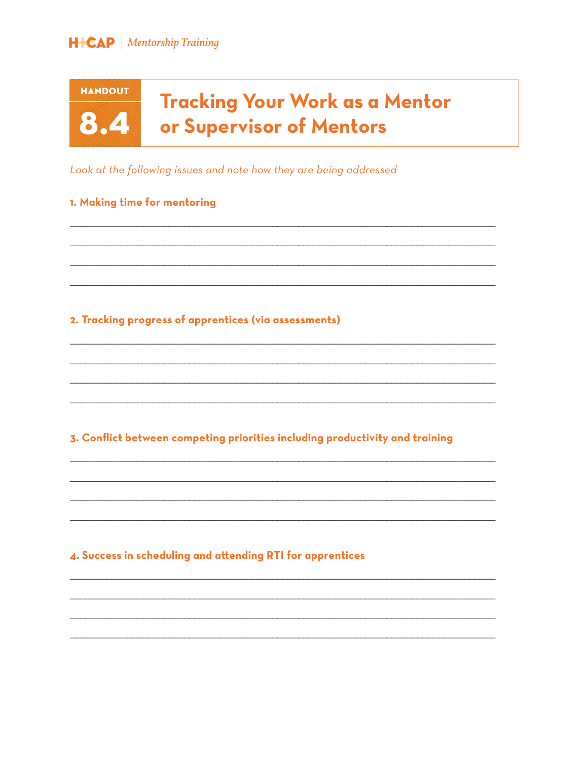**HANDOUT** 

8.4

### **Tracking Your Work as a Mentor** or Supervisor of Mentors

Look at the following issues and note how they are being addressed

#### 1. Making time for mentoring

#### 2. Tracking progress of apprentices (via assessments)

3. Conflict between competing priorities including productivity and training

#### 4. Success in scheduling and attending RTI for apprentices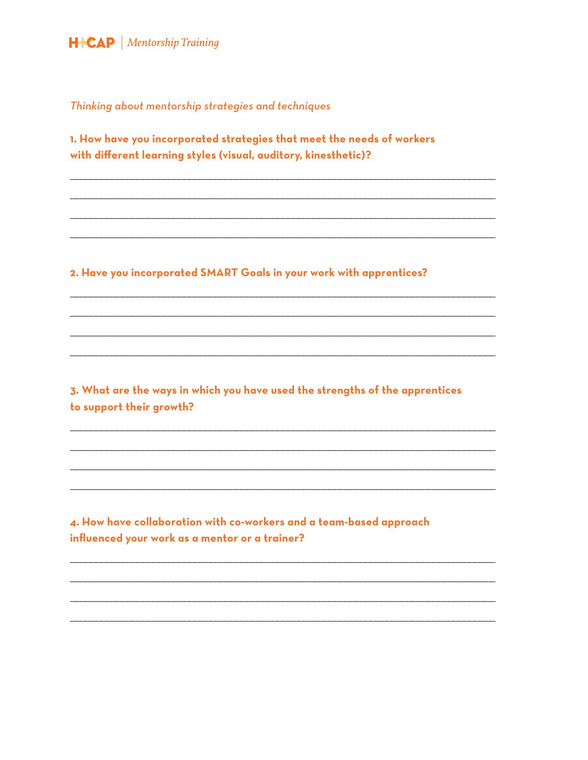

Thinking about mentorship strategies and techniques

1. How have you incorporated strategies that meet the needs of workers with different learning styles (visual, auditory, kinesthetic)?

2. Have you incorporated SMART Goals in your work with apprentices?

3. What are the ways in which you have used the strengths of the apprentices to support their growth?

4. How have collaboration with co-workers and a team-based approach influenced your work as a mentor or a trainer?